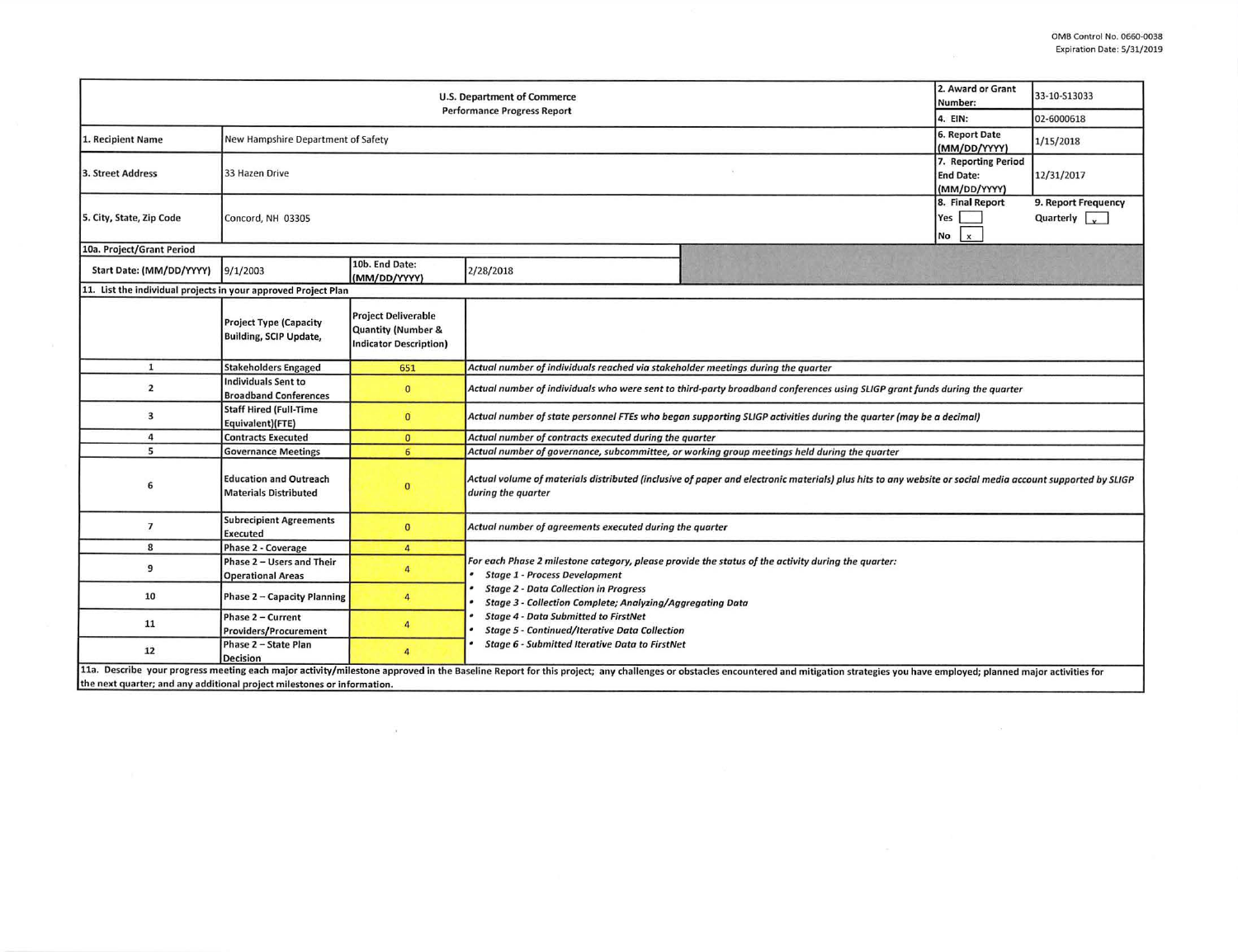$\sim$ 

| U.S. Department of Commerce<br><b>Performance Progress Report</b>       |                                                                |                                                                                       |                                                                                                                                                                                                                         |                                                                                                                                                                                                                                |  | 33-10-S13033 |  |  |  |  |
|-------------------------------------------------------------------------|----------------------------------------------------------------|---------------------------------------------------------------------------------------|-------------------------------------------------------------------------------------------------------------------------------------------------------------------------------------------------------------------------|--------------------------------------------------------------------------------------------------------------------------------------------------------------------------------------------------------------------------------|--|--------------|--|--|--|--|
|                                                                         |                                                                |                                                                                       |                                                                                                                                                                                                                         |                                                                                                                                                                                                                                |  | 02-6000618   |  |  |  |  |
| 1. Recipient Name                                                       | New Hampshire Department of Safety                             | 6. Report Date<br>(MM/DD/YYYY)                                                        | 1/15/2018                                                                                                                                                                                                               |                                                                                                                                                                                                                                |  |              |  |  |  |  |
| 3. Street Address                                                       | 33 Hazen Drive                                                 | 7. Reporting Period<br><b>End Date:</b><br>(MM/DD/YYYY)                               | 12/31/2017                                                                                                                                                                                                              |                                                                                                                                                                                                                                |  |              |  |  |  |  |
| 5. City, State, Zip Code                                                | Concord, NH 03305                                              | 8. Final Report<br>Yes<br>$\mathbf{x}$<br>No                                          | 9. Report Frequency<br>Quarterly $\sqrt{\phantom{a}}$                                                                                                                                                                   |                                                                                                                                                                                                                                |  |              |  |  |  |  |
| 10a. Project/Grant Period                                               |                                                                |                                                                                       |                                                                                                                                                                                                                         |                                                                                                                                                                                                                                |  |              |  |  |  |  |
| Start Date: (MM/DD/YYYY)                                                | 9/1/2003                                                       | 10b. End Date:<br>(MM/DD/YYYY)                                                        | 2/28/2018                                                                                                                                                                                                               |                                                                                                                                                                                                                                |  |              |  |  |  |  |
| 11. List the individual projects in your approved Project Plan          |                                                                |                                                                                       |                                                                                                                                                                                                                         |                                                                                                                                                                                                                                |  |              |  |  |  |  |
|                                                                         | <b>Project Type (Capacity</b><br><b>Building, SCIP Update,</b> | <b>Project Deliverable</b><br><b>Quantity (Number &amp;</b><br>Indicator Description) |                                                                                                                                                                                                                         |                                                                                                                                                                                                                                |  |              |  |  |  |  |
| $\mathbf{1}$                                                            | <b>Stakeholders Engaged</b>                                    | 651                                                                                   | Actual number of individuals reached via stakeholder meetings during the quarter                                                                                                                                        |                                                                                                                                                                                                                                |  |              |  |  |  |  |
| $\overline{2}$                                                          | <b>Individuals Sent to</b><br><b>Broadband Conferences</b>     | $\mathbf{0}$                                                                          | Actual number of individuals who were sent to third-party broadband conferences using SLIGP grant funds during the quarter                                                                                              |                                                                                                                                                                                                                                |  |              |  |  |  |  |
| $\overline{\mathbf{3}}$                                                 | <b>Staff Hired (Full-Time</b><br>Equivalent)(FTE)              | $\overline{0}$                                                                        | Actual number of state personnel FTEs who began supporting SLIGP activities during the quarter (may be a decimal)                                                                                                       |                                                                                                                                                                                                                                |  |              |  |  |  |  |
| $\overline{a}$                                                          | <b>Contracts Executed</b>                                      | $\mathbf{0}$                                                                          | Actual number of contracts executed during the quarter                                                                                                                                                                  |                                                                                                                                                                                                                                |  |              |  |  |  |  |
| 5                                                                       | <b>Governance Meetings</b>                                     | 6 <sup>5</sup>                                                                        | Actual number of governance, subcommittee, or working group meetings held during the quarter                                                                                                                            |                                                                                                                                                                                                                                |  |              |  |  |  |  |
| 6                                                                       | <b>Education and Outreach</b><br><b>Materials Distributed</b>  | $\bf{0}$                                                                              | Actual volume of materials distributed (inclusive of paper and electronic materials) plus hits to any website or social media account supported by SLIGP<br>during the quarter                                          |                                                                                                                                                                                                                                |  |              |  |  |  |  |
| $\overline{7}$                                                          | <b>Subrecipient Agreements</b><br><b>Executed</b>              | $\overline{0}$                                                                        | Actual number of agreements executed during the quarter                                                                                                                                                                 |                                                                                                                                                                                                                                |  |              |  |  |  |  |
| 8                                                                       | Phase 2 - Coverage                                             | $\overline{4}$                                                                        |                                                                                                                                                                                                                         |                                                                                                                                                                                                                                |  |              |  |  |  |  |
| 9                                                                       | Phase 2 - Users and Their<br><b>Operational Areas</b>          | $\overline{4}$                                                                        | For each Phase 2 milestone category, please provide the status of the activity during the quarter:<br><b>Stage 1 - Process Development</b>                                                                              |                                                                                                                                                                                                                                |  |              |  |  |  |  |
| 10                                                                      | Phase 2 - Capacity Planning                                    | 4                                                                                     | <b>Stage 2 - Data Collection in Progress</b><br><b>Stage 3 - Collection Complete; Analyzing/Aggregating Data</b><br><b>Stage 4 - Data Submitted to FirstNet</b><br><b>Stage 5 - Continued/Iterative Data Collection</b> |                                                                                                                                                                                                                                |  |              |  |  |  |  |
| 11                                                                      | Phase 2 - Current<br>Providers/Procurement                     | $\overline{4}$                                                                        |                                                                                                                                                                                                                         |                                                                                                                                                                                                                                |  |              |  |  |  |  |
| 12                                                                      | Phase 2 - State Plan<br>Decision                               | $\boldsymbol{A}$                                                                      | <b>Stage 6 - Submitted Iterative Data to FirstNet</b>                                                                                                                                                                   |                                                                                                                                                                                                                                |  |              |  |  |  |  |
|                                                                         |                                                                |                                                                                       |                                                                                                                                                                                                                         | 11a. Describe your progress meeting each major activity/milestone approved in the Baseline Report for this project; any challenges or obstacles encountered and mitigation strategies you have employed; planned major activit |  |              |  |  |  |  |
| the next quarter; and any additional project milestones or information. |                                                                |                                                                                       |                                                                                                                                                                                                                         |                                                                                                                                                                                                                                |  |              |  |  |  |  |

 $\overline{\mathcal{N}}$